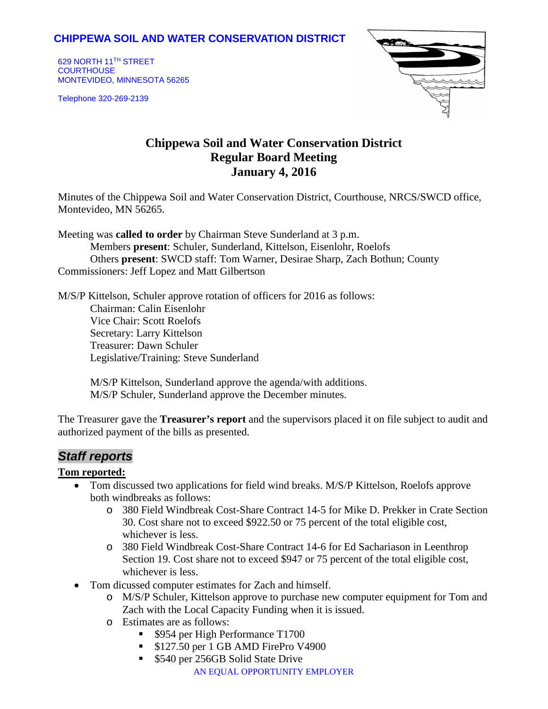### **CHIPPEWA SOIL AND WATER CONSERVATION DISTRICT**

629 NORTH 11TH STREET **COURTHOUSE** MONTEVIDEO, MINNESOTA 56265

Telephone 320-269-2139



# **Chippewa Soil and Water Conservation District Regular Board Meeting January 4, 2016**

Minutes of the Chippewa Soil and Water Conservation District, Courthouse, NRCS/SWCD office, Montevideo, MN 56265.

Meeting was **called to order** by Chairman Steve Sunderland at 3 p.m. Members **present**: Schuler, Sunderland, Kittelson, Eisenlohr, Roelofs Others **present**: SWCD staff: Tom Warner, Desirae Sharp, Zach Bothun; County Commissioners: Jeff Lopez and Matt Gilbertson

M/S/P Kittelson, Schuler approve rotation of officers for 2016 as follows: Chairman: Calin Eisenlohr Vice Chair: Scott Roelofs Secretary: Larry Kittelson Treasurer: Dawn Schuler Legislative/Training: Steve Sunderland

M/S/P Kittelson, Sunderland approve the agenda/with additions. M/S/P Schuler, Sunderland approve the December minutes.

The Treasurer gave the **Treasurer's report** and the supervisors placed it on file subject to audit and authorized payment of the bills as presented.

## *Staff reports*

#### **Tom reported:**

- Tom discussed two applications for field wind breaks. M/S/P Kittelson, Roelofs approve both windbreaks as follows:
	- o 380 Field Windbreak Cost-Share Contract 14-5 for Mike D. Prekker in Crate Section 30. Cost share not to exceed \$922.50 or 75 percent of the total eligible cost, whichever is less.
	- o 380 Field Windbreak Cost-Share Contract 14-6 for Ed Sachariason in Leenthrop Section 19. Cost share not to exceed \$947 or 75 percent of the total eligible cost, whichever is less.
- Tom dicussed computer estimates for Zach and himself.
	- o M/S/P Schuler, Kittelson approve to purchase new computer equipment for Tom and Zach with the Local Capacity Funding when it is issued.
	- o Estimates are as follows:
		- **Symbol** \$954 per High Performance T1700
		- **S127.50 per 1 GB AMD FirePro V4900**
		- AN EQUAL OPPORTUNITY EMPLOYER **5540 per 256GB Solid State Drive**